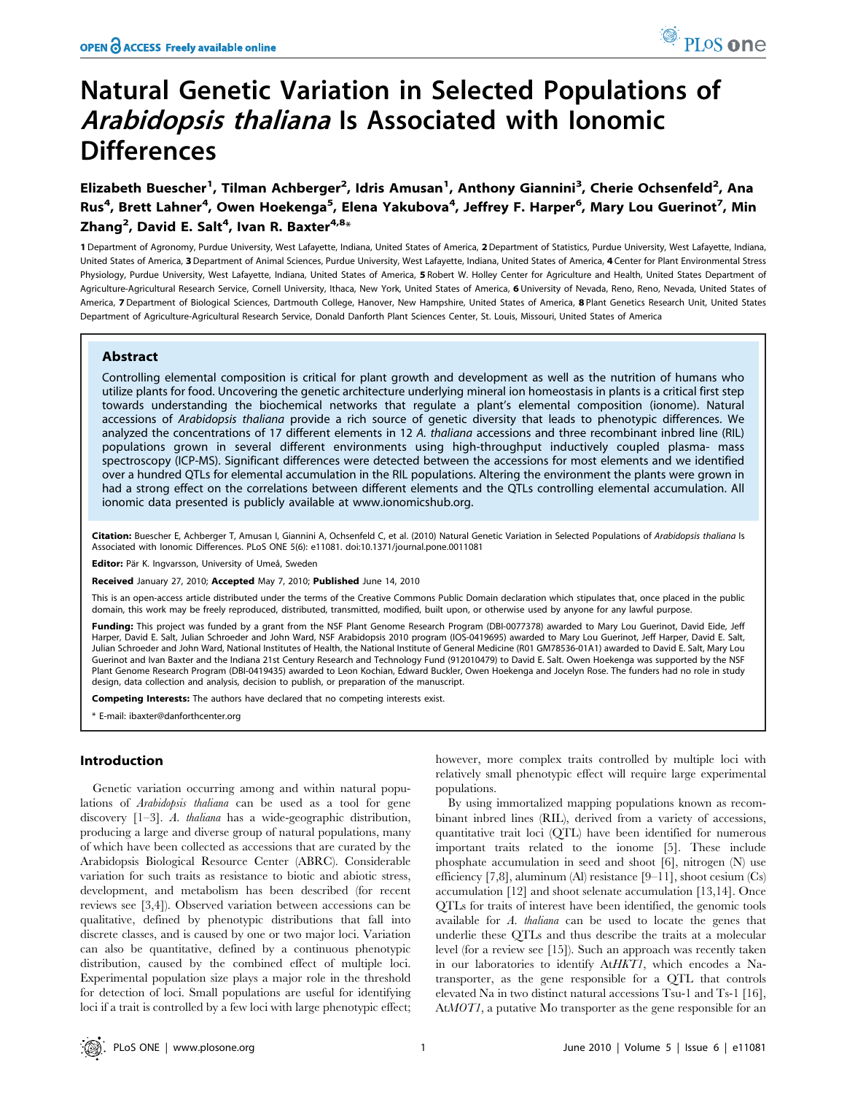# Natural Genetic Variation in Selected Populations of Arabidopsis thaliana Is Associated with Ionomic **Differences**

Elizabeth Buescher<sup>1</sup>, Tilman Achberger<sup>2</sup>, Idris Amusan<sup>1</sup>, Anthony Giannini<sup>3</sup>, Cherie Ochsenfeld<sup>2</sup>, Ana Rus<sup>4</sup>, Brett Lahner<sup>4</sup>, Owen Hoekenga<sup>5</sup>, Elena Yakubova<sup>4</sup>, Jeffrey F. Harper<sup>6</sup>, Mary Lou Guerinot<sup>7</sup>, Min Zhang $^2$ , David E. Salt $^4$ , Ivan R. Baxter $^{4,8_\star}$ 

1 Department of Agronomy, Purdue University, West Lafayette, Indiana, United States of America, 2Department of Statistics, Purdue University, West Lafayette, Indiana, United States of America, 3 Department of Animal Sciences, Purdue University, West Lafayette, Indiana, United States of America, 4 Center for Plant Environmental Stress Physiology, Purdue University, West Lafayette, Indiana, United States of America, 5 Robert W. Holley Center for Agriculture and Health, United States Department of Agriculture-Agricultural Research Service, Cornell University, Ithaca, New York, United States of America, 6 University of Nevada, Reno, Reno, Nevada, United States of America, 7 Department of Biological Sciences, Dartmouth College, Hanover, New Hampshire, United States of America, 8 Plant Genetics Research Unit, United States Department of Agriculture-Agricultural Research Service, Donald Danforth Plant Sciences Center, St. Louis, Missouri, United States of America

# Abstract

Controlling elemental composition is critical for plant growth and development as well as the nutrition of humans who utilize plants for food. Uncovering the genetic architecture underlying mineral ion homeostasis in plants is a critical first step towards understanding the biochemical networks that regulate a plant's elemental composition (ionome). Natural accessions of Arabidopsis thaliana provide a rich source of genetic diversity that leads to phenotypic differences. We analyzed the concentrations of 17 different elements in 12 A. thaliana accessions and three recombinant inbred line (RIL) populations grown in several different environments using high-throughput inductively coupled plasma- mass spectroscopy (ICP-MS). Significant differences were detected between the accessions for most elements and we identified over a hundred QTLs for elemental accumulation in the RIL populations. Altering the environment the plants were grown in had a strong effect on the correlations between different elements and the QTLs controlling elemental accumulation. All ionomic data presented is publicly available at www.ionomicshub.org.

Citation: Buescher E, Achberger T, Amusan I, Giannini A, Ochsenfeld C, et al. (2010) Natural Genetic Variation in Selected Populations of Arabidopsis thaliana Is Associated with Ionomic Differences. PLoS ONE 5(6): e11081. doi:10.1371/journal.pone.0011081

Editor: Pär K. Ingvarsson, University of Umeå, Sweden

Received January 27, 2010; Accepted May 7, 2010; Published June 14, 2010

This is an open-access article distributed under the terms of the Creative Commons Public Domain declaration which stipulates that, once placed in the public domain, this work may be freely reproduced, distributed, transmitted, modified, built upon, or otherwise used by anyone for any lawful purpose.

Funding: This project was funded by a grant from the NSF Plant Genome Research Program (DBI-0077378) awarded to Mary Lou Guerinot, David Eide, Jeff Harper, David E. Salt, Julian Schroeder and John Ward, NSF Arabidopsis 2010 program (IOS-0419695) awarded to Mary Lou Guerinot, Jeff Harper, David E. Salt, Julian Schroeder and John Ward, National Institutes of Health, the National Institute of General Medicine (R01 GM78536-01A1) awarded to David E. Salt, Mary Lou Guerinot and Ivan Baxter and the Indiana 21st Century Research and Technology Fund (912010479) to David E. Salt. Owen Hoekenga was supported by the NSF Plant Genome Research Program (DBI-0419435) awarded to Leon Kochian, Edward Buckler, Owen Hoekenga and Jocelyn Rose. The funders had no role in study design, data collection and analysis, decision to publish, or preparation of the manuscript.

Competing Interests: The authors have declared that no competing interests exist.

\* E-mail: ibaxter@danforthcenter.org

# Introduction

Genetic variation occurring among and within natural populations of Arabidopsis thaliana can be used as a tool for gene discovery [1–3]. A. thaliana has a wide-geographic distribution, producing a large and diverse group of natural populations, many of which have been collected as accessions that are curated by the Arabidopsis Biological Resource Center (ABRC). Considerable variation for such traits as resistance to biotic and abiotic stress, development, and metabolism has been described (for recent reviews see [3,4]). Observed variation between accessions can be qualitative, defined by phenotypic distributions that fall into discrete classes, and is caused by one or two major loci. Variation can also be quantitative, defined by a continuous phenotypic distribution, caused by the combined effect of multiple loci. Experimental population size plays a major role in the threshold for detection of loci. Small populations are useful for identifying loci if a trait is controlled by a few loci with large phenotypic effect; however, more complex traits controlled by multiple loci with relatively small phenotypic effect will require large experimental populations.

By using immortalized mapping populations known as recombinant inbred lines (RIL), derived from a variety of accessions, quantitative trait loci (QTL) have been identified for numerous important traits related to the ionome [5]. These include phosphate accumulation in seed and shoot [6], nitrogen (N) use efficiency [7,8], aluminum (Al) resistance [9–11], shoot cesium (Cs) accumulation [12] and shoot selenate accumulation [13,14]. Once QTLs for traits of interest have been identified, the genomic tools available for A. thaliana can be used to locate the genes that underlie these QTLs and thus describe the traits at a molecular level (for a review see [15]). Such an approach was recently taken in our laboratories to identify AtHKT1, which encodes a Natransporter, as the gene responsible for a QTL that controls elevated Na in two distinct natural accessions Tsu-1 and Ts-1 [16], AtMOT1, a putative Mo transporter as the gene responsible for an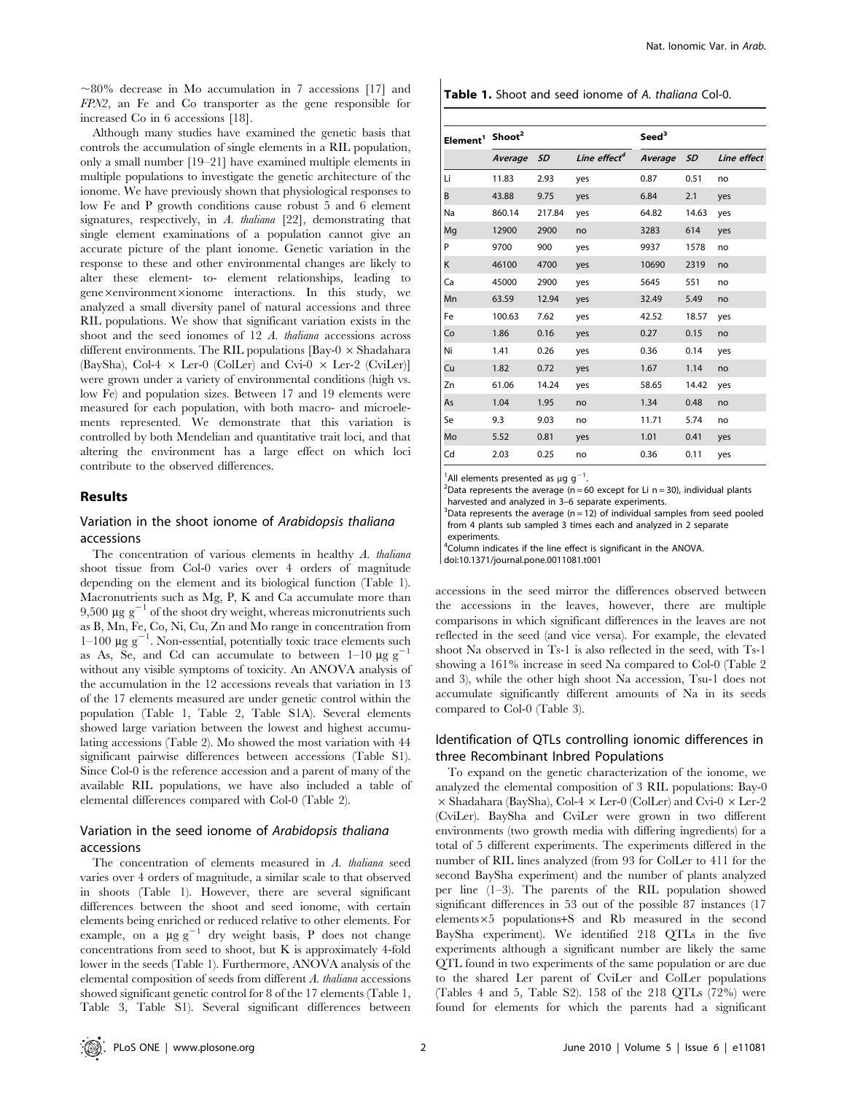$\sim80\%$  decrease in Mo accumulation in 7 accessions [17] and FPN2, an Fe and Co transporter as the gene responsible for increased Co in 6 accessions [18].

Although many studies have examined the genetic basis that controls the accumulation of single elements in a RIL population, only a small number [19–21] have examined multiple elements in multiple populations to investigate the genetic architecture of the ionome. We have previously shown that physiological responses to low Fe and P growth conditions cause robust 5 and 6 element signatures, respectively, in A. thaliana [22], demonstrating that single element examinations of a population cannot give an accurate picture of the plant ionome. Genetic variation in the response to these and other environmental changes are likely to alter these element- to- element relationships, leading to gene×environment×ionome interactions. In this study, we analyzed a small diversity panel of natural accessions and three RIL populations. We show that significant variation exists in the shoot and the seed ionomes of 12 A. thaliana accessions across different environments. The RIL populations  $\lceil$ Bay-0  $\times$  Shadahara (BaySha), Col-4  $\times$  Ler-0 (ColLer) and Cvi-0  $\times$  Ler-2 (CviLer)] were grown under a variety of environmental conditions (high vs. low Fe) and population sizes. Between 17 and 19 elements were measured for each population, with both macro- and microelements represented. We demonstrate that this variation is controlled by both Mendelian and quantitative trait loci, and that altering the environment has a large effect on which loci contribute to the observed differences.

# Results

# Variation in the shoot ionome of Arabidopsis thaliana accessions

The concentration of various elements in healthy A. thaliana shoot tissue from Col-0 varies over 4 orders of magnitude depending on the element and its biological function (Table 1). Macronutrients such as Mg, P, K and Ca accumulate more than 9,500  $\mu$ g g<sup>-1</sup> of the shoot dry weight, whereas micronutrients such as B, Mn, Fe, Co, Ni, Cu, Zn and Mo range in concentration from  $1-100 \mu g g^{-1}$ . Non-essential, potentially toxic trace elements such as As, Se, and Cd can accumulate to between  $1-10 \mu g g$ without any visible symptoms of toxicity. An ANOVA analysis of the accumulation in the 12 accessions reveals that variation in 13 of the 17 elements measured are under genetic control within the population (Table 1, Table 2, Table S1A). Several elements showed large variation between the lowest and highest accumulating accessions (Table 2). Mo showed the most variation with 44 significant pairwise differences between accessions (Table S1). Since Col-0 is the reference accession and a parent of many of the available RIL populations, we have also included a table of elemental differences compared with Col-0 (Table 2).

# Variation in the seed ionome of Arabidopsis thaliana accessions

The concentration of elements measured in A. thaliana seed varies over 4 orders of magnitude, a similar scale to that observed in shoots (Table 1). However, there are several significant differences between the shoot and seed ionome, with certain elements being enriched or reduced relative to other elements. For example, on a  $\mu$ g g<sup>-1</sup> dry weight basis, P does not change concentrations from seed to shoot, but K is approximately 4-fold lower in the seeds (Table 1). Furthermore, ANOVA analysis of the elemental composition of seeds from different A. thaliana accessions showed significant genetic control for 8 of the 17 elements (Table 1, Table 3, Table S1). Several significant differences between

| <b>Table 1.</b> Shoot and seed ionome of A. thaliana Col-0. |
|-------------------------------------------------------------|
|-------------------------------------------------------------|

| Element <sup>1</sup> Shoot <sup>2</sup> |         |           |                          | Seed <sup>3</sup> |           |             |
|-----------------------------------------|---------|-----------|--------------------------|-------------------|-----------|-------------|
|                                         | Average | <b>SD</b> | Line effect <sup>4</sup> | Average           | <b>SD</b> | Line effect |
| Li                                      | 11.83   | 2.93      | yes                      | 0.87              | 0.51      | no          |
| B                                       | 43.88   | 9.75      | yes                      | 6.84              | 2.1       | yes         |
| Na                                      | 860.14  | 217.84    | yes                      | 64.82             | 14.63     | yes         |
| Mg                                      | 12900   | 2900      | no                       | 3283              | 614       | yes         |
| P                                       | 9700    | 900       | yes                      | 9937              | 1578      | no          |
| Κ                                       | 46100   | 4700      | yes                      | 10690             | 2319      | no          |
| Ca                                      | 45000   | 2900      | yes                      | 5645              | 551       | no          |
| Mn                                      | 63.59   | 12.94     | yes                      | 32.49             | 5.49      | no          |
| Fe                                      | 100.63  | 7.62      | yes                      | 42.52             | 18.57     | yes         |
| Co                                      | 1.86    | 0.16      | yes                      | 0.27              | 0.15      | no          |
| Ni                                      | 1.41    | 0.26      | yes                      | 0.36              | 0.14      | yes         |
| Cu                                      | 1.82    | 0.72      | yes                      | 1.67              | 1.14      | no          |
| Zn                                      | 61.06   | 14.24     | yes                      | 58.65             | 14.42     | yes         |
| As                                      | 1.04    | 1.95      | no                       | 1.34              | 0.48      | no          |
| Se                                      | 9.3     | 9.03      | no                       | 11.71             | 5.74      | no          |
| Mo                                      | 5.52    | 0.81      | yes                      | 1.01              | 0.41      | yes         |
| Cd                                      | 2.03    | 0.25      | no                       | 0.36              | 0.11      | yes         |

<sup>1</sup>All elements presented as  $\mu$ g g<sup>-1</sup>.

<sup>2</sup>Data represents the average (n = 60 except for Li n = 30), individual plants harvested and analyzed in 3–6 separate experiments.

 $3$ Data represents the average (n = 12) of individual samples from seed pooled from 4 plants sub sampled 3 times each and analyzed in 2 separate experiments.

4 Column indicates if the line effect is significant in the ANOVA.

doi:10.1371/journal.pone.0011081.t001

accessions in the seed mirror the differences observed between the accessions in the leaves, however, there are multiple comparisons in which significant differences in the leaves are not reflected in the seed (and vice versa). For example, the elevated shoot Na observed in Ts-1 is also reflected in the seed, with Ts-1 showing a 161% increase in seed Na compared to Col-0 (Table 2 and 3), while the other high shoot Na accession, Tsu-1 does not accumulate significantly different amounts of Na in its seeds compared to Col-0 (Table 3).

# Identification of QTLs controlling ionomic differences in three Recombinant Inbred Populations

To expand on the genetic characterization of the ionome, we analyzed the elemental composition of 3 RIL populations: Bay-0  $\times$  Shadahara (BaySha), Col-4  $\times$  Ler-0 (ColLer) and Cvi-0  $\times$  Ler-2 (CviLer). BaySha and CviLer were grown in two different environments (two growth media with differing ingredients) for a total of 5 different experiments. The experiments differed in the number of RIL lines analyzed (from 93 for ColLer to 411 for the second BaySha experiment) and the number of plants analyzed per line (1–3). The parents of the RIL population showed significant differences in 53 out of the possible 87 instances (17 elements $\times$ 5 populations+S and Rb measured in the second BaySha experiment). We identified 218 QTLs in the five experiments although a significant number are likely the same QTL found in two experiments of the same population or are due to the shared Ler parent of CviLer and ColLer populations (Tables 4 and 5, Table S2). 158 of the 218 QTLs (72%) were found for elements for which the parents had a significant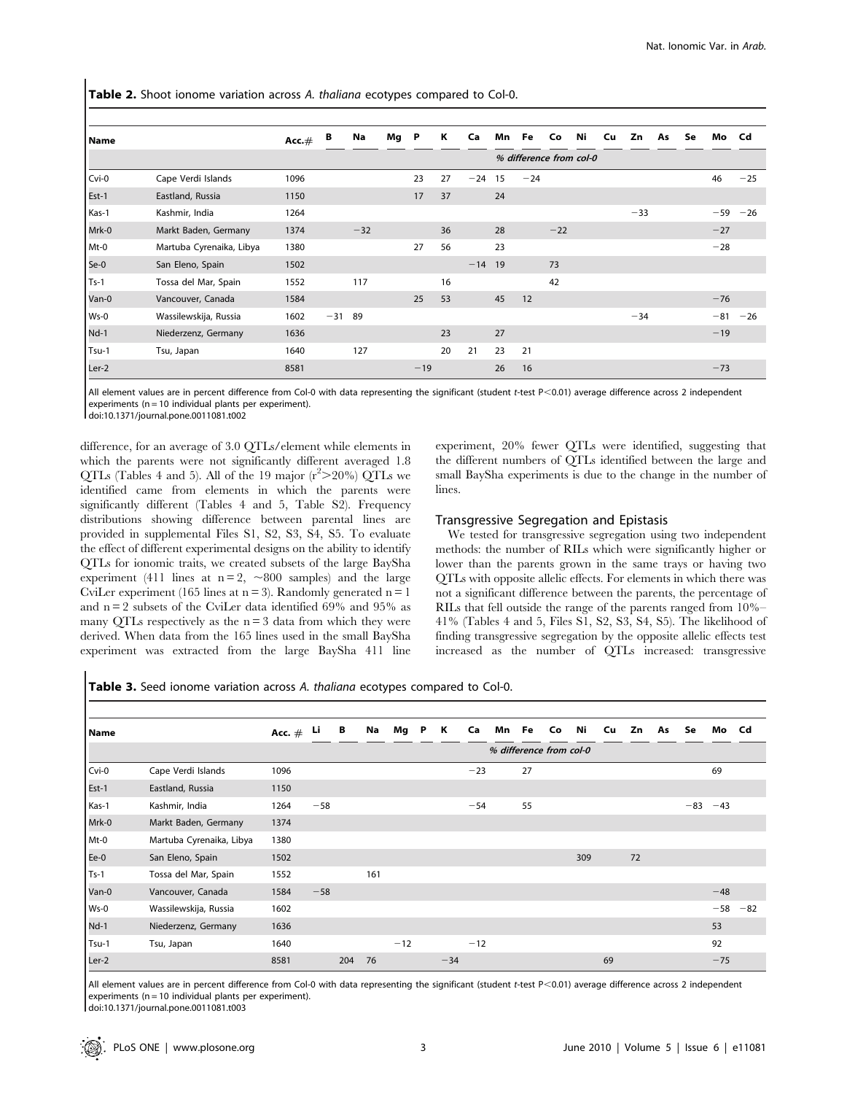Table 2. Shoot ionome variation across A. thaliana ecotypes compared to Col-0.

| l Name |                          | Acc. $#$ | B     | Na    | Mg | P     | К  | Ca    | Mn            | Fe    | Co    | Ni                      | Cu | Zn    | As | Se | Mo    | Cd C  |
|--------|--------------------------|----------|-------|-------|----|-------|----|-------|---------------|-------|-------|-------------------------|----|-------|----|----|-------|-------|
|        |                          |          |       |       |    |       |    |       |               |       |       | % difference from col-0 |    |       |    |    |       |       |
| Cvi-0  | Cape Verdi Islands       | 1096     |       |       |    | 23    | 27 | $-24$ | 15            | $-24$ |       |                         |    |       |    |    | 46    | $-25$ |
| Est-1  | Eastland, Russia         | 1150     |       |       |    | 17    | 37 |       | 24            |       |       |                         |    |       |    |    |       |       |
| Kas-1  | Kashmir, India           | 1264     |       |       |    |       |    |       |               |       |       |                         |    | $-33$ |    |    | $-59$ | $-26$ |
| Mrk-0  | Markt Baden, Germany     | 1374     |       | $-32$ |    |       | 36 |       | 28            |       | $-22$ |                         |    |       |    |    | $-27$ |       |
| Mt-0   | Martuba Cyrenaika, Libya | 1380     |       |       |    | 27    | 56 |       | 23            |       |       |                         |    |       |    |    | $-28$ |       |
| Se-0   | San Eleno, Spain         | 1502     |       |       |    |       |    | $-14$ | <sup>19</sup> |       | 73    |                         |    |       |    |    |       |       |
| $Ts-1$ | Tossa del Mar, Spain     | 1552     |       | 117   |    |       | 16 |       |               |       | 42    |                         |    |       |    |    |       |       |
| Van-0  | Vancouver, Canada        | 1584     |       |       |    | 25    | 53 |       | 45            | 12    |       |                         |    |       |    |    | $-76$ |       |
| Ws-0   | Wassilewskija, Russia    | 1602     | $-31$ | 89    |    |       |    |       |               |       |       |                         |    | $-34$ |    |    | $-81$ | $-26$ |
| $Nd-1$ | Niederzenz, Germany      | 1636     |       |       |    |       | 23 |       | 27            |       |       |                         |    |       |    |    | $-19$ |       |
| Tsu-1  | Tsu, Japan               | 1640     |       | 127   |    |       | 20 | 21    | 23            | 21    |       |                         |    |       |    |    |       |       |
| Ler-2  |                          | 8581     |       |       |    | $-19$ |    |       | 26            | 16    |       |                         |    |       |    |    | $-73$ |       |

All element values are in percent difference from Col-0 with data representing the significant (student t-test P<0.01) average difference across 2 independent experiments ( $n = 10$  individual plants per experiment).

doi:10.1371/journal.pone.0011081.t002

difference, for an average of 3.0 QTLs/element while elements in which the parents were not significantly different averaged 1.8 QTLs (Tables 4 and 5). All of the 19 major  $(r^2>20\%)$  QTLs we identified came from elements in which the parents were significantly different (Tables 4 and 5, Table S2). Frequency distributions showing difference between parental lines are provided in supplemental Files S1, S2, S3, S4, S5. To evaluate the effect of different experimental designs on the ability to identify QTLs for ionomic traits, we created subsets of the large BaySha experiment (411 lines at  $n = 2$ ,  $\sim 800$  samples) and the large CviLer experiment (165 lines at  $n = 3$ ). Randomly generated  $n = 1$ and  $n = 2$  subsets of the CviLer data identified 69% and 95% as many QTLs respectively as the  $n = 3$  data from which they were derived. When data from the 165 lines used in the small BaySha experiment was extracted from the large BaySha 411 line

experiment, 20% fewer QTLs were identified, suggesting that the different numbers of QTLs identified between the large and small BaySha experiments is due to the change in the number of lines.

#### Transgressive Segregation and Epistasis

We tested for transgressive segregation using two independent methods: the number of RILs which were significantly higher or lower than the parents grown in the same trays or having two QTLs with opposite allelic effects. For elements in which there was not a significant difference between the parents, the percentage of RILs that fell outside the range of the parents ranged from 10%– 41% (Tables 4 and 5, Files S1, S2, S3, S4, S5). The likelihood of finding transgressive segregation by the opposite allelic effects test increased as the number of QTLs increased: transgressive

Table 3. Seed ionome variation across A. thaliana ecotypes compared to Col-0.

| l Name |                          | Acc. $#$ | Li    | В   | Na  | Mg    | P | к     | Ca    | Mn Fe | Co | Ni                      | Cu | Zn | As | Se    | Mo    | Cd    |
|--------|--------------------------|----------|-------|-----|-----|-------|---|-------|-------|-------|----|-------------------------|----|----|----|-------|-------|-------|
|        |                          |          |       |     |     |       |   |       |       |       |    | % difference from col-0 |    |    |    |       |       |       |
| Cvi-0  | Cape Verdi Islands       | 1096     |       |     |     |       |   |       | $-23$ | 27    |    |                         |    |    |    |       | 69    |       |
| Est-1  | Eastland, Russia         | 1150     |       |     |     |       |   |       |       |       |    |                         |    |    |    |       |       |       |
| Kas-1  | Kashmir, India           | 1264     | $-58$ |     |     |       |   |       | $-54$ | 55    |    |                         |    |    |    | $-83$ | $-43$ |       |
| Mrk-0  | Markt Baden, Germany     | 1374     |       |     |     |       |   |       |       |       |    |                         |    |    |    |       |       |       |
| Mt-0   | Martuba Cyrenaika, Libya | 1380     |       |     |     |       |   |       |       |       |    |                         |    |    |    |       |       |       |
| Ee-0   | San Eleno, Spain         | 1502     |       |     |     |       |   |       |       |       |    | 309                     |    | 72 |    |       |       |       |
| $Ts-1$ | Tossa del Mar, Spain     | 1552     |       |     | 161 |       |   |       |       |       |    |                         |    |    |    |       |       |       |
| Van-0  | Vancouver, Canada        | 1584     | $-58$ |     |     |       |   |       |       |       |    |                         |    |    |    |       | $-48$ |       |
| Ws-0   | Wassilewskija, Russia    | 1602     |       |     |     |       |   |       |       |       |    |                         |    |    |    |       | $-58$ | $-82$ |
| $Nd-1$ | Niederzenz, Germany      | 1636     |       |     |     |       |   |       |       |       |    |                         |    |    |    |       | 53    |       |
| Tsu-1  | Tsu, Japan               | 1640     |       |     |     | $-12$ |   |       | $-12$ |       |    |                         |    |    |    |       | 92    |       |
| Ler-2  |                          | 8581     |       | 204 | 76  |       |   | $-34$ |       |       |    |                         | 69 |    |    |       | $-75$ |       |

All element values are in percent difference from Col-0 with data representing the significant (student t-test P<0.01) average difference across 2 independent experiments ( $n = 10$  individual plants per experiment).

doi:10.1371/journal.pone.0011081.t003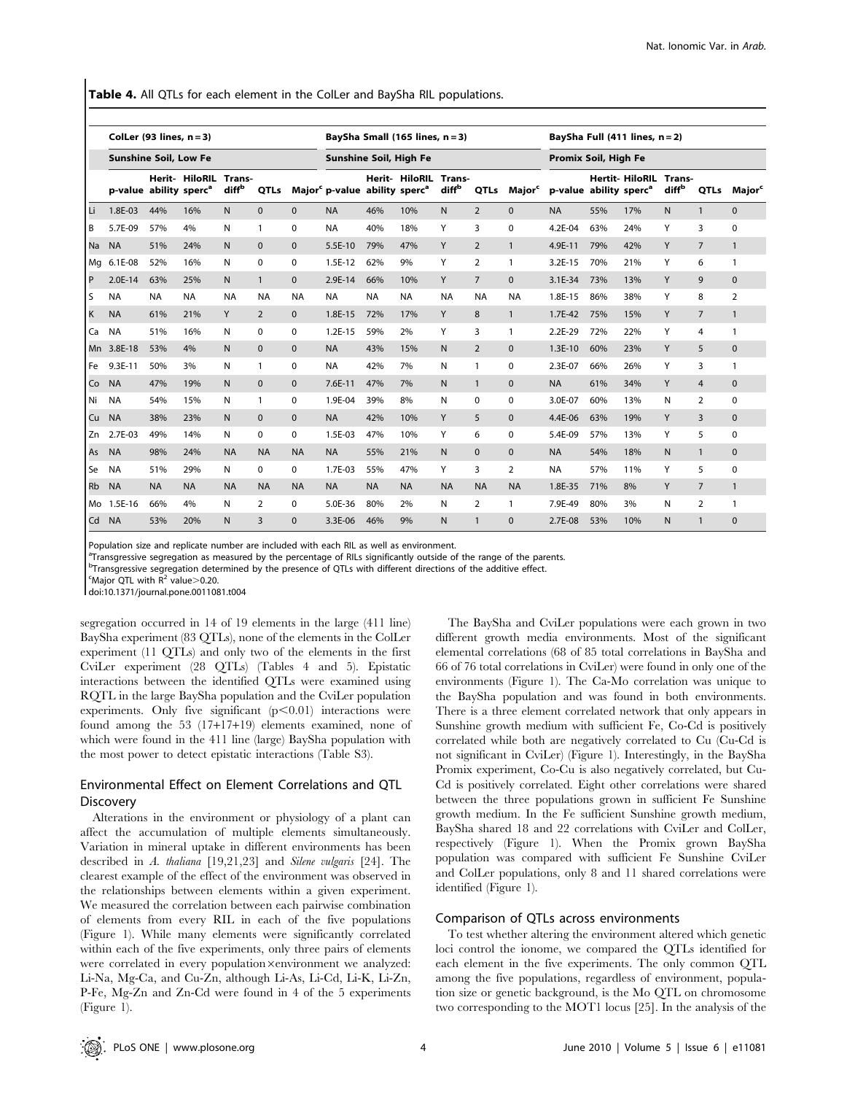Table 4. All QTLs for each element in the ColLer and BaySha RIL populations.

|           | ColLer (93 lines, $n = 3$ )        |           |                       |                             |                |              |                                                       |           | BaySha Small $(165$ lines, $n = 3$ ) |                             |                |                    |                                    |     | BaySha Full $(411$ lines, $n = 2$ ) |                             |                |                    |
|-----------|------------------------------------|-----------|-----------------------|-----------------------------|----------------|--------------|-------------------------------------------------------|-----------|--------------------------------------|-----------------------------|----------------|--------------------|------------------------------------|-----|-------------------------------------|-----------------------------|----------------|--------------------|
|           | <b>Sunshine Soil, Low Fe</b>       |           |                       |                             |                |              | Sunshine Soil, High Fe                                |           |                                      |                             |                |                    | Promix Soil, High Fe               |     |                                     |                             |                |                    |
|           | p-value ability sperc <sup>a</sup> |           | <b>Herit- HiloRIL</b> | Trans-<br>diff <sup>b</sup> | QTLs           |              | Major <sup>c</sup> p-value ability sperc <sup>a</sup> |           | Herit- HiloRIL                       | Trans-<br>diff <sup>b</sup> | QTLs           | Major <sup>c</sup> | p-value ability sperc <sup>a</sup> |     | <b>Hertit-HiloRIL</b>               | Trans-<br>diff <sup>b</sup> | QTLs           | Major <sup>c</sup> |
| Li        | 1.8E-03                            | 44%       | 16%                   | N                           | $\mathbf{0}$   | $\mathbf{0}$ | <b>NA</b>                                             | 46%       | 10%                                  | N                           | $\overline{2}$ | $\mathbf{0}$       | <b>NA</b>                          | 55% | 17%                                 | N                           | $\mathbf{1}$   | $\mathbf 0$        |
| B         | 5.7E-09                            | 57%       | 4%                    | N                           | $\mathbf{1}$   | 0            | <b>NA</b>                                             | 40%       | 18%                                  | Y                           | 3              | 0                  | 4.2E-04                            | 63% | 24%                                 | Y                           | 3              | 0                  |
| <b>Na</b> | <b>NA</b>                          | 51%       | 24%                   | N                           | $\Omega$       | $\mathbf{0}$ | 5.5E-10                                               | 79%       | 47%                                  | Y                           | $\overline{2}$ | $\mathbf{1}$       | 4.9E-11                            | 79% | 42%                                 | Y                           | $\overline{7}$ | $\mathbf{1}$       |
| Mg        | 6.1E-08                            | 52%       | 16%                   | N                           | $\Omega$       | 0            | $1.5E-12$                                             | 62%       | 9%                                   | Y                           | 2              | $\mathbf{1}$       | $3.2E-15$                          | 70% | 21%                                 | Y                           | 6              | 1                  |
| P         | $2.0E-14$                          | 63%       | 25%                   | N                           | $\mathbf{1}$   | $\Omega$     | 2.9E-14                                               | 66%       | 10%                                  | Y                           | $\overline{7}$ | $\Omega$           | $3.1E-34$                          | 73% | 13%                                 | Y                           | 9              | $\mathbf 0$        |
| l S       | <b>NA</b>                          | <b>NA</b> | <b>NA</b>             | <b>NA</b>                   | <b>NA</b>      | <b>NA</b>    | <b>NA</b>                                             | <b>NA</b> | <b>NA</b>                            | <b>NA</b>                   | <b>NA</b>      | <b>NA</b>          | 1.8E-15                            | 86% | 38%                                 | Y                           | 8              | $\overline{2}$     |
| K         | <b>NA</b>                          | 61%       | 21%                   | Y                           | $\overline{2}$ | $\mathbf{0}$ | 1.8E-15                                               | 72%       | 17%                                  | Y                           | 8              | $\mathbf{1}$       | 1.7E-42                            | 75% | 15%                                 | Y                           | $\overline{7}$ | $\mathbf{1}$       |
| Ca        | <b>NA</b>                          | 51%       | 16%                   | N                           | $\Omega$       | 0            | $1.2E-15$                                             | 59%       | 2%                                   | Y                           | 3              | $\mathbf{1}$       | $2.2E-29$                          | 72% | 22%                                 | Y                           | 4              | $\mathbf{1}$       |
| Mn        | 3.8E-18                            | 53%       | 4%                    | N                           | $\Omega$       | $\mathbf{0}$ | <b>NA</b>                                             | 43%       | 15%                                  | $\mathsf{N}$                | $\overline{2}$ | $\mathbf{0}$       | $1.3E-10$                          | 60% | 23%                                 | Y                           | 5              | $\mathbf 0$        |
| . Fe      | 9.3E-11                            | 50%       | 3%                    | N                           | 1              | 0            | <b>NA</b>                                             | 42%       | 7%                                   | N                           | $\mathbf{1}$   | $\mathbf 0$        | 2.3E-07                            | 66% | 26%                                 | Y                           | 3              | $\mathbf{1}$       |
| Co        | <b>NA</b>                          | 47%       | 19%                   | N                           | $\mathbf{0}$   | $\mathbf{0}$ | $7.6E-11$                                             | 47%       | 7%                                   | N                           | $\mathbf{1}$   | $\mathbf{0}$       | <b>NA</b>                          | 61% | 34%                                 | Y                           | $\overline{4}$ | $\mathbf{0}$       |
| Ni        | <b>NA</b>                          | 54%       | 15%                   | N                           | $\mathbf{1}$   | 0            | 1.9E-04                                               | 39%       | 8%                                   | N                           | $\mathbf 0$    | $\mathbf 0$        | 3.0E-07                            | 60% | 13%                                 | Ν                           | $\overline{2}$ | 0                  |
| Cu        | <b>NA</b>                          | 38%       | 23%                   | N                           | $\Omega$       | $\mathbf{0}$ | <b>NA</b>                                             | 42%       | 10%                                  | Y                           | 5              | $\Omega$           | 4.4E-06                            | 63% | 19%                                 | Y                           | 3              | 0                  |
| Zn        | 2.7E-03                            | 49%       | 14%                   | N                           | $\Omega$       | $\Omega$     | 1.5E-03                                               | 47%       | 10%                                  | Y                           | 6              | $\mathbf 0$        | 5.4E-09                            | 57% | 13%                                 | Y                           | 5              | 0                  |
| As        | <b>NA</b>                          | 98%       | 24%                   | <b>NA</b>                   | <b>NA</b>      | <b>NA</b>    | <b>NA</b>                                             | 55%       | 21%                                  | N                           | $\mathbf{0}$   | $\mathbf{0}$       | <b>NA</b>                          | 54% | 18%                                 | N                           | $\mathbf{1}$   | $\mathbf{0}$       |
| Se        | <b>NA</b>                          | 51%       | 29%                   | N                           | $\Omega$       | 0            | 1.7E-03                                               | 55%       | 47%                                  | Y                           | 3              | 2                  | <b>NA</b>                          | 57% | 11%                                 | Y                           | 5              | 0                  |
| <b>Rb</b> | <b>NA</b>                          | <b>NA</b> | <b>NA</b>             | <b>NA</b>                   | <b>NA</b>      | <b>NA</b>    | <b>NA</b>                                             | <b>NA</b> | <b>NA</b>                            | <b>NA</b>                   | <b>NA</b>      | <b>NA</b>          | 1.8E-35                            | 71% | 8%                                  | Y                           | $\overline{7}$ | $\mathbf{1}$       |
| Mo        | 1.5E-16                            | 66%       | 4%                    | N                           | 2              | 0            | 5.0E-36                                               | 80%       | 2%                                   | N                           | 2              | 1                  | 7.9E-49                            | 80% | 3%                                  | Ν                           | 2              | $\mathbf{1}$       |
| Cd        | <b>NA</b>                          | 53%       | 20%                   | N                           | 3              | $\mathbf{0}$ | 3.3E-06                                               | 46%       | 9%                                   | N                           | $\mathbf{1}$   | $\mathbf{0}$       | 2.7E-08                            | 53% | 10%                                 | N                           | $\mathbf{1}$   | $\mathbf{0}$       |

Population size and replicate number are included with each RIL as well as environment.

<sup>a</sup>Transgressive segregation as measured by the percentage of RILs significantly outside of the range of the parents.

<sup>b</sup>Transgressive segregation determined by the presence of QTLs with different directions of the additive effect.

 $\mathrm{c}$ Major QTL with R<sup>2</sup> value > 0.20.

doi:10.1371/journal.pone.0011081.t004

segregation occurred in 14 of 19 elements in the large (411 line) BaySha experiment (83 QTLs), none of the elements in the ColLer experiment (11 QTLs) and only two of the elements in the first CviLer experiment (28 QTLs) (Tables 4 and 5). Epistatic interactions between the identified QTLs were examined using RQTL in the large BaySha population and the CviLer population experiments. Only five significant  $(p<0.01)$  interactions were found among the 53 (17+17+19) elements examined, none of which were found in the 411 line (large) BaySha population with the most power to detect epistatic interactions (Table S3).

# Environmental Effect on Element Correlations and QTL Discovery

Alterations in the environment or physiology of a plant can affect the accumulation of multiple elements simultaneously. Variation in mineral uptake in different environments has been described in A. thaliana [19,21,23] and Silene vulgaris [24]. The clearest example of the effect of the environment was observed in the relationships between elements within a given experiment. We measured the correlation between each pairwise combination of elements from every RIL in each of the five populations (Figure 1). While many elements were significantly correlated within each of the five experiments, only three pairs of elements were correlated in every population×environment we analyzed: Li-Na, Mg-Ca, and Cu-Zn, although Li-As, Li-Cd, Li-K, Li-Zn, P-Fe, Mg-Zn and Zn-Cd were found in 4 of the 5 experiments (Figure 1).

The BaySha and CviLer populations were each grown in two different growth media environments. Most of the significant elemental correlations (68 of 85 total correlations in BaySha and 66 of 76 total correlations in CviLer) were found in only one of the environments (Figure 1). The Ca-Mo correlation was unique to the BaySha population and was found in both environments. There is a three element correlated network that only appears in Sunshine growth medium with sufficient Fe, Co-Cd is positively correlated while both are negatively correlated to Cu (Cu-Cd is not significant in CviLer) (Figure 1). Interestingly, in the BaySha Promix experiment, Co-Cu is also negatively correlated, but Cu-Cd is positively correlated. Eight other correlations were shared between the three populations grown in sufficient Fe Sunshine growth medium. In the Fe sufficient Sunshine growth medium, BaySha shared 18 and 22 correlations with CviLer and ColLer, respectively (Figure 1). When the Promix grown BaySha population was compared with sufficient Fe Sunshine CviLer and ColLer populations, only 8 and 11 shared correlations were identified (Figure 1).

## Comparison of QTLs across environments

To test whether altering the environment altered which genetic loci control the ionome, we compared the QTLs identified for each element in the five experiments. The only common QTL among the five populations, regardless of environment, population size or genetic background, is the Mo QTL on chromosome two corresponding to the MOT1 locus [25]. In the analysis of the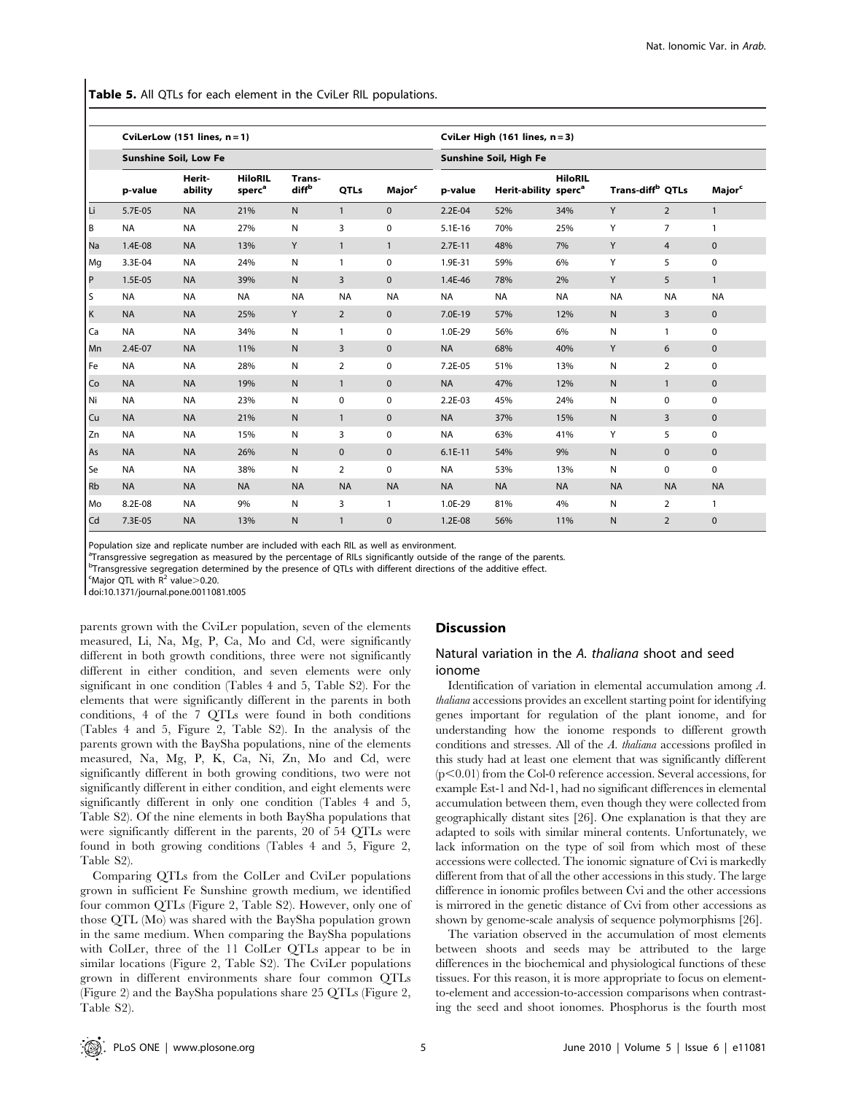Table 5. All QTLs for each element in the CviLer RIL populations.

|           |           | CviLerLow $(151$ lines, $n = 1$ ) |                                      |                             |                |                           |                        | CviLer High (161 lines, n = 3)   |                |                              |                |                           |  |  |
|-----------|-----------|-----------------------------------|--------------------------------------|-----------------------------|----------------|---------------------------|------------------------|----------------------------------|----------------|------------------------------|----------------|---------------------------|--|--|
|           |           | <b>Sunshine Soil, Low Fe</b>      |                                      |                             |                |                           | Sunshine Soil, High Fe |                                  |                |                              |                |                           |  |  |
|           | p-value   | Herit-<br>ability                 | <b>HiloRIL</b><br>sperc <sup>a</sup> | Trans-<br>diff <sup>b</sup> | QTLs           | <b>Major</b> <sup>c</sup> | p-value                | Herit-ability sperc <sup>a</sup> | <b>HiloRIL</b> | Trans-diff <sup>b</sup> QTLs |                | <b>Major</b> <sup>c</sup> |  |  |
| Li        | 5.7E-05   | <b>NA</b>                         | 21%                                  | N.                          | $\mathbf{1}$   | $\mathbf{0}$              | $2.2E-04$              | 52%                              | 34%            | Y                            | 2              | $\mathbf{1}$              |  |  |
| B         | <b>NA</b> | <b>NA</b>                         | 27%                                  | N                           | 3              | $\mathbf 0$               | $5.1E-16$              | 70%                              | 25%            | Y                            | $\overline{7}$ | $\mathbf{1}$              |  |  |
| Na        | 1.4E-08   | <b>NA</b>                         | 13%                                  | Y                           | $\mathbf{1}$   | $\mathbf{1}$              | $2.7E-11$              | 48%                              | 7%             | Y                            | $\overline{4}$ | $\mathbf 0$               |  |  |
| Mg        | 3.3E-04   | <b>NA</b>                         | 24%                                  | N                           | $\mathbf{1}$   | $\mathbf 0$               | 1.9E-31                | 59%                              | 6%             | Y                            | 5              | $\mathbf 0$               |  |  |
| P         | 1.5E-05   | <b>NA</b>                         | 39%                                  | $\mathsf{N}$                | $\overline{3}$ | $\mathbf{0}$              | 1.4E-46                | 78%                              | 2%             | Y                            | 5              | $\mathbf{1}$              |  |  |
| l S       | <b>NA</b> | <b>NA</b>                         | <b>NA</b>                            | <b>NA</b>                   | <b>NA</b>      | <b>NA</b>                 | <b>NA</b>              | <b>NA</b>                        | <b>NA</b>      | <b>NA</b>                    | <b>NA</b>      | <b>NA</b>                 |  |  |
| K         | <b>NA</b> | <b>NA</b>                         | 25%                                  | Y                           | $\overline{2}$ | $\mathbf{0}$              | 7.0E-19                | 57%                              | 12%            | N                            | 3              | $\mathbf 0$               |  |  |
| Ca        | <b>NA</b> | <b>NA</b>                         | 34%                                  | N                           | $\mathbf{1}$   | $\mathbf 0$               | 1.0E-29                | 56%                              | 6%             | N                            | $\mathbf{1}$   | $\mathbf 0$               |  |  |
| Mn        | 2.4E-07   | <b>NA</b>                         | 11%                                  | N.                          | 3              | $\mathbf{0}$              | <b>NA</b>              | 68%                              | 40%            | Y                            | 6              | $\mathbf{0}$              |  |  |
| Fe        | <b>NA</b> | <b>NA</b>                         | 28%                                  | N                           | $\overline{2}$ | $\mathbf 0$               | 7.2E-05                | 51%                              | 13%            | N                            | 2              | $\mathbf 0$               |  |  |
| Co        | <b>NA</b> | <b>NA</b>                         | 19%                                  | N.                          | $\mathbf{1}$   | $\mathbf{0}$              | <b>NA</b>              | 47%                              | 12%            | N.                           | $\mathbf{1}$   | $\mathbf 0$               |  |  |
| Ni        | <b>NA</b> | <b>NA</b>                         | 23%                                  | N                           | $\mathbf 0$    | $\mathbf 0$               | 2.2E-03                | 45%                              | 24%            | N                            | $\mathbf 0$    | $\mathbf 0$               |  |  |
| Cu        | <b>NA</b> | <b>NA</b>                         | 21%                                  | $\mathsf{N}$                | $\mathbf{1}$   | $\mathbf 0$               | <b>NA</b>              | 37%                              | 15%            | N                            | $\overline{3}$ | $\mathbf 0$               |  |  |
| Zn        | <b>NA</b> | <b>NA</b>                         | 15%                                  | N                           | 3              | $\mathbf 0$               | <b>NA</b>              | 63%                              | 41%            | Y                            | 5              | $\mathbf 0$               |  |  |
| As        | <b>NA</b> | <b>NA</b>                         | 26%                                  | $\mathsf{N}$                | $\mathbf 0$    | $\mathbf 0$               | $6.1E-11$              | 54%                              | 9%             | N                            | $\mathbf{0}$   | $\mathbf 0$               |  |  |
| Se        | <b>NA</b> | <b>NA</b>                         | 38%                                  | N                           | $\overline{2}$ | $\mathbf 0$               | <b>NA</b>              | 53%                              | 13%            | N                            | $\mathbf 0$    | $\mathbf 0$               |  |  |
| <b>Rb</b> | <b>NA</b> | <b>NA</b>                         | <b>NA</b>                            | <b>NA</b>                   | <b>NA</b>      | <b>NA</b>                 | <b>NA</b>              | <b>NA</b>                        | <b>NA</b>      | <b>NA</b>                    | <b>NA</b>      | <b>NA</b>                 |  |  |
| Mo        | 8.2E-08   | <b>NA</b>                         | 9%                                   | N                           | 3              | $\mathbf{1}$              | 1.0E-29                | 81%                              | 4%             | N                            | 2              | $\mathbf{1}$              |  |  |
| Cd        | 7.3E-05   | <b>NA</b>                         | 13%                                  | N                           | $\mathbf{1}$   | $\mathbf{0}$              | 1.2E-08                | 56%                              | 11%            | N                            | $\overline{2}$ | $\mathbf{0}$              |  |  |

Population size and replicate number are included with each RIL as well as environment.

<sup>a</sup>Transgressive segregation as measured by the percentage of RILs significantly outside of the range of the parents.

<sup>b</sup>Transgressive segregation determined by the presence of QTLs with different directions of the additive effect.

 $\mathrm{c}$ Major QTL with R<sup>2</sup> value > 0.20.

doi:10.1371/journal.pone.0011081.t005

parents grown with the CviLer population, seven of the elements measured, Li, Na, Mg, P, Ca, Mo and Cd, were significantly different in both growth conditions, three were not significantly different in either condition, and seven elements were only significant in one condition (Tables 4 and 5, Table S2). For the elements that were significantly different in the parents in both conditions, 4 of the 7 QTLs were found in both conditions (Tables 4 and 5, Figure 2, Table S2). In the analysis of the parents grown with the BaySha populations, nine of the elements measured, Na, Mg, P, K, Ca, Ni, Zn, Mo and Cd, were significantly different in both growing conditions, two were not significantly different in either condition, and eight elements were significantly different in only one condition (Tables 4 and 5, Table S2). Of the nine elements in both BaySha populations that were significantly different in the parents, 20 of 54 QTLs were found in both growing conditions (Tables 4 and 5, Figure 2, Table S2).

Comparing QTLs from the ColLer and CviLer populations grown in sufficient Fe Sunshine growth medium, we identified four common QTLs (Figure 2, Table S2). However, only one of those QTL (Mo) was shared with the BaySha population grown in the same medium. When comparing the BaySha populations with ColLer, three of the 11 ColLer QTLs appear to be in similar locations (Figure 2, Table S2). The CviLer populations grown in different environments share four common QTLs (Figure 2) and the BaySha populations share 25 QTLs (Figure 2, Table S2).

## **Discussion**

# Natural variation in the A. thaliana shoot and seed ionome

Identification of variation in elemental accumulation among A. thaliana accessions provides an excellent starting point for identifying genes important for regulation of the plant ionome, and for understanding how the ionome responds to different growth conditions and stresses. All of the A. thaliana accessions profiled in this study had at least one element that was significantly different  $(p<0.01)$  from the Col-0 reference accession. Several accessions, for example Est-1 and Nd-1, had no significant differences in elemental accumulation between them, even though they were collected from geographically distant sites [26]. One explanation is that they are adapted to soils with similar mineral contents. Unfortunately, we lack information on the type of soil from which most of these accessions were collected. The ionomic signature of Cvi is markedly different from that of all the other accessions in this study. The large difference in ionomic profiles between Cvi and the other accessions is mirrored in the genetic distance of Cvi from other accessions as shown by genome-scale analysis of sequence polymorphisms [26].

The variation observed in the accumulation of most elements between shoots and seeds may be attributed to the large differences in the biochemical and physiological functions of these tissues. For this reason, it is more appropriate to focus on elementto-element and accession-to-accession comparisons when contrasting the seed and shoot ionomes. Phosphorus is the fourth most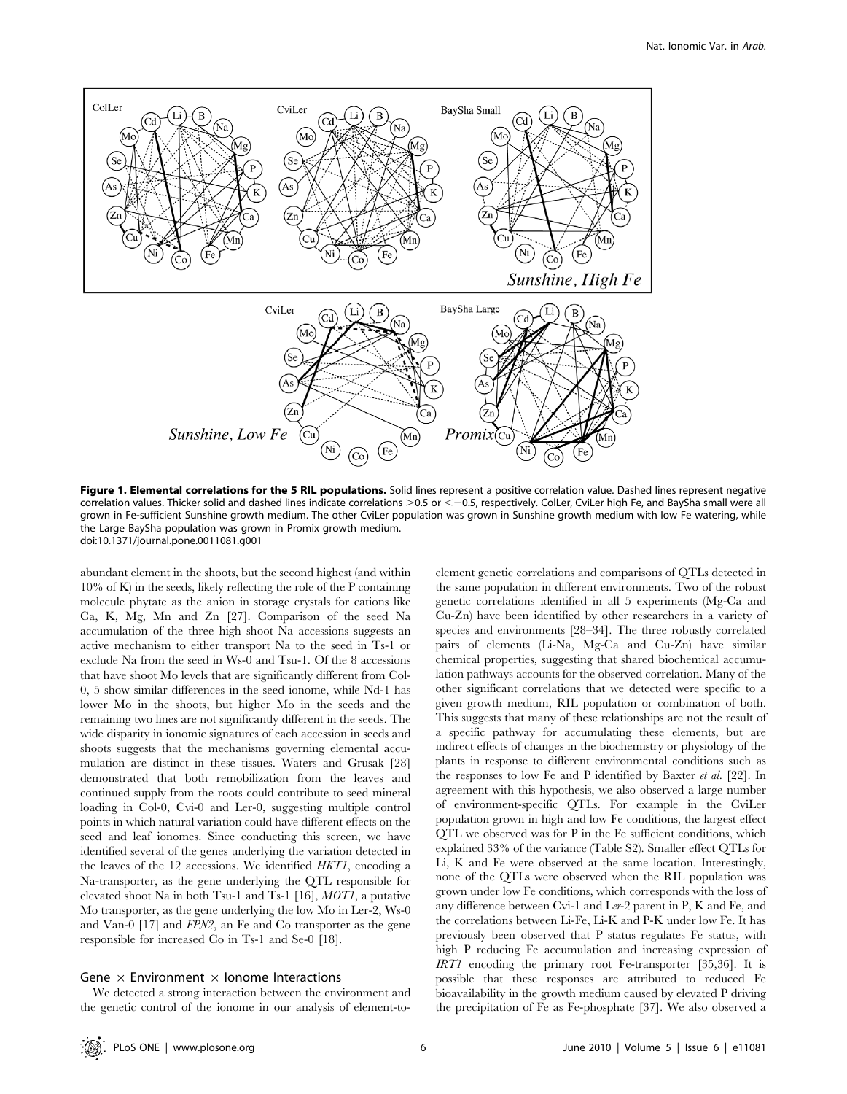

Figure 1. Elemental correlations for the 5 RIL populations. Solid lines represent a positive correlation value. Dashed lines represent negative correlation values. Thicker solid and dashed lines indicate correlations  $>0.5$  or  $<-0.5$ , respectively. ColLer, CviLer high Fe, and BaySha small were all grown in Fe-sufficient Sunshine growth medium. The other CviLer population was grown in Sunshine growth medium with low Fe watering, while the Large BaySha population was grown in Promix growth medium. doi:10.1371/journal.pone.0011081.g001

abundant element in the shoots, but the second highest (and within 10% of K) in the seeds, likely reflecting the role of the P containing molecule phytate as the anion in storage crystals for cations like Ca, K, Mg, Mn and Zn [27]. Comparison of the seed Na accumulation of the three high shoot Na accessions suggests an active mechanism to either transport Na to the seed in Ts-1 or exclude Na from the seed in Ws-0 and Tsu-1. Of the 8 accessions that have shoot Mo levels that are significantly different from Col-0, 5 show similar differences in the seed ionome, while Nd-1 has lower Mo in the shoots, but higher Mo in the seeds and the remaining two lines are not significantly different in the seeds. The wide disparity in ionomic signatures of each accession in seeds and shoots suggests that the mechanisms governing elemental accumulation are distinct in these tissues. Waters and Grusak [28] demonstrated that both remobilization from the leaves and continued supply from the roots could contribute to seed mineral loading in Col-0, Cvi-0 and Ler-0, suggesting multiple control points in which natural variation could have different effects on the seed and leaf ionomes. Since conducting this screen, we have identified several of the genes underlying the variation detected in the leaves of the 12 accessions. We identified HKT1, encoding a Na-transporter, as the gene underlying the QTL responsible for elevated shoot Na in both Tsu-1 and Ts-1 [16], MOT1, a putative Mo transporter, as the gene underlying the low Mo in Ler-2, Ws-0 and Van-0 [17] and FPN2, an Fe and Co transporter as the gene responsible for increased Co in Ts-1 and Se-0 [18].

#### Gene  $\times$  Environment  $\times$  Ionome Interactions

We detected a strong interaction between the environment and the genetic control of the ionome in our analysis of element-toelement genetic correlations and comparisons of QTLs detected in the same population in different environments. Two of the robust genetic correlations identified in all 5 experiments (Mg-Ca and Cu-Zn) have been identified by other researchers in a variety of species and environments [28–34]. The three robustly correlated pairs of elements (Li-Na, Mg-Ca and Cu-Zn) have similar chemical properties, suggesting that shared biochemical accumulation pathways accounts for the observed correlation. Many of the other significant correlations that we detected were specific to a given growth medium, RIL population or combination of both. This suggests that many of these relationships are not the result of a specific pathway for accumulating these elements, but are indirect effects of changes in the biochemistry or physiology of the plants in response to different environmental conditions such as the responses to low Fe and P identified by Baxter et al. [22]. In agreement with this hypothesis, we also observed a large number of environment-specific QTLs. For example in the CviLer population grown in high and low Fe conditions, the largest effect QTL we observed was for P in the Fe sufficient conditions, which explained 33% of the variance (Table S2). Smaller effect QTLs for Li, K and Fe were observed at the same location. Interestingly, none of the QTLs were observed when the RIL population was grown under low Fe conditions, which corresponds with the loss of any difference between Cvi-1 and Ler-2 parent in P, K and Fe, and the correlations between Li-Fe, Li-K and P-K under low Fe. It has previously been observed that P status regulates Fe status, with high P reducing Fe accumulation and increasing expression of IRT1 encoding the primary root Fe-transporter [35,36]. It is possible that these responses are attributed to reduced Fe bioavailability in the growth medium caused by elevated P driving the precipitation of Fe as Fe-phosphate [37]. We also observed a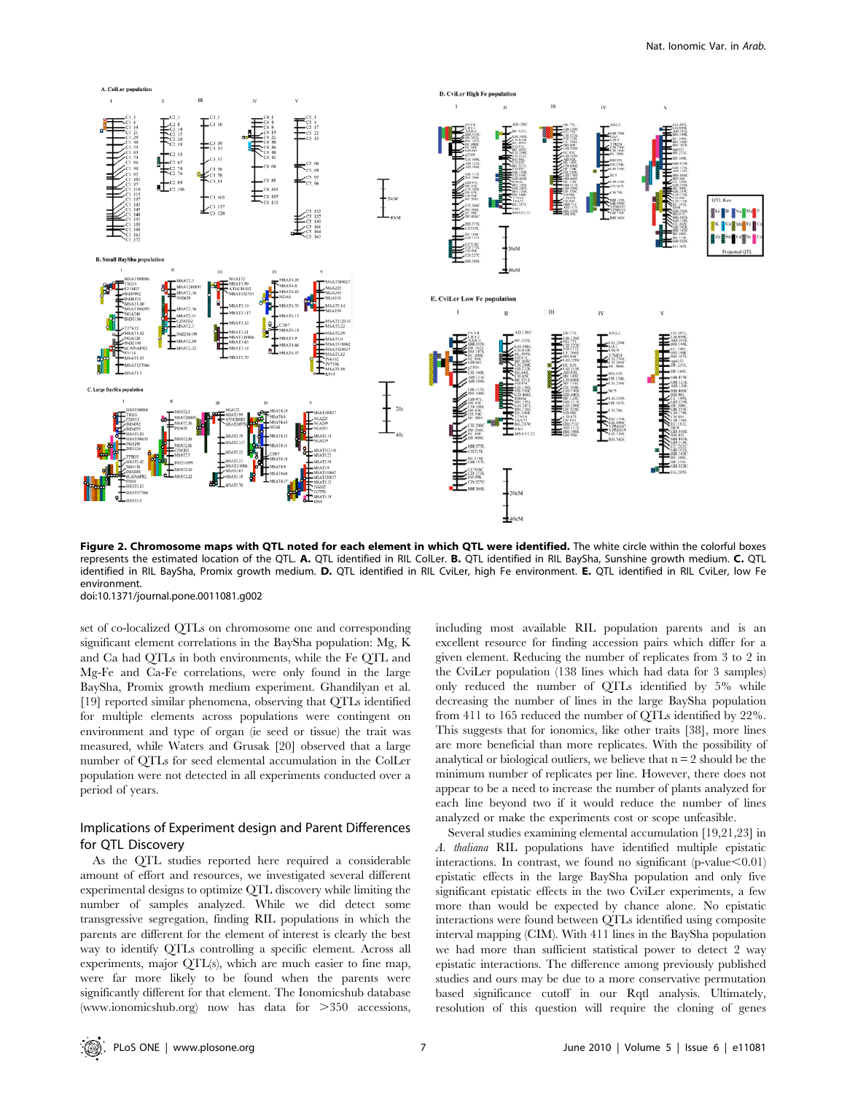

Figure 2. Chromosome maps with QTL noted for each element in which QTL were identified. The white circle within the colorful boxes represents the estimated location of the QTL. A. QTL identified in RIL ColLer. B. QTL identified in RIL BaySha, Sunshine growth medium. C. QTL identified in RIL BaySha, Promix growth medium. D. QTL identified in RIL CviLer, high Fe environment. E. QTL identified in RIL CviLer, low Fe environment.

doi:10.1371/journal.pone.0011081.g002

set of co-localized QTLs on chromosome one and corresponding significant element correlations in the BaySha population: Mg, K and Ca had QTLs in both environments, while the Fe QTL and Mg-Fe and Ca-Fe correlations, were only found in the large BaySha, Promix growth medium experiment. Ghandilyan et al. [19] reported similar phenomena, observing that QTLs identified for multiple elements across populations were contingent on environment and type of organ (ie seed or tissue) the trait was measured, while Waters and Grusak [20] observed that a large number of QTLs for seed elemental accumulation in the ColLer population were not detected in all experiments conducted over a period of years.

# Implications of Experiment design and Parent Differences for QTL Discovery

As the QTL studies reported here required a considerable amount of effort and resources, we investigated several different experimental designs to optimize QTL discovery while limiting the number of samples analyzed. While we did detect some transgressive segregation, finding RIL populations in which the parents are different for the element of interest is clearly the best way to identify QTLs controlling a specific element. Across all experiments, major QTL(s), which are much easier to fine map, were far more likely to be found when the parents were significantly different for that element. The Ionomicshub database (www.ionomicshub.org) now has data for  $>350$  accessions,

including most available RIL population parents and is an excellent resource for finding accession pairs which differ for a given element. Reducing the number of replicates from 3 to 2 in the CviLer population (138 lines which had data for 3 samples) only reduced the number of QTLs identified by 5% while decreasing the number of lines in the large BaySha population from 411 to 165 reduced the number of QTLs identified by 22%. This suggests that for ionomics, like other traits [38], more lines are more beneficial than more replicates. With the possibility of analytical or biological outliers, we believe that  $n = 2$  should be the minimum number of replicates per line. However, there does not appear to be a need to increase the number of plants analyzed for each line beyond two if it would reduce the number of lines analyzed or make the experiments cost or scope unfeasible.

Several studies examining elemental accumulation [19,21,23] in A. thaliana RIL populations have identified multiple epistatic interactions. In contrast, we found no significant (p-value $< 0.01$ ) epistatic effects in the large BaySha population and only five significant epistatic effects in the two CviLer experiments, a few more than would be expected by chance alone. No epistatic interactions were found between QTLs identified using composite interval mapping (CIM). With 411 lines in the BaySha population we had more than sufficient statistical power to detect 2 way epistatic interactions. The difference among previously published studies and ours may be due to a more conservative permutation based significance cutoff in our Rqtl analysis. Ultimately, resolution of this question will require the cloning of genes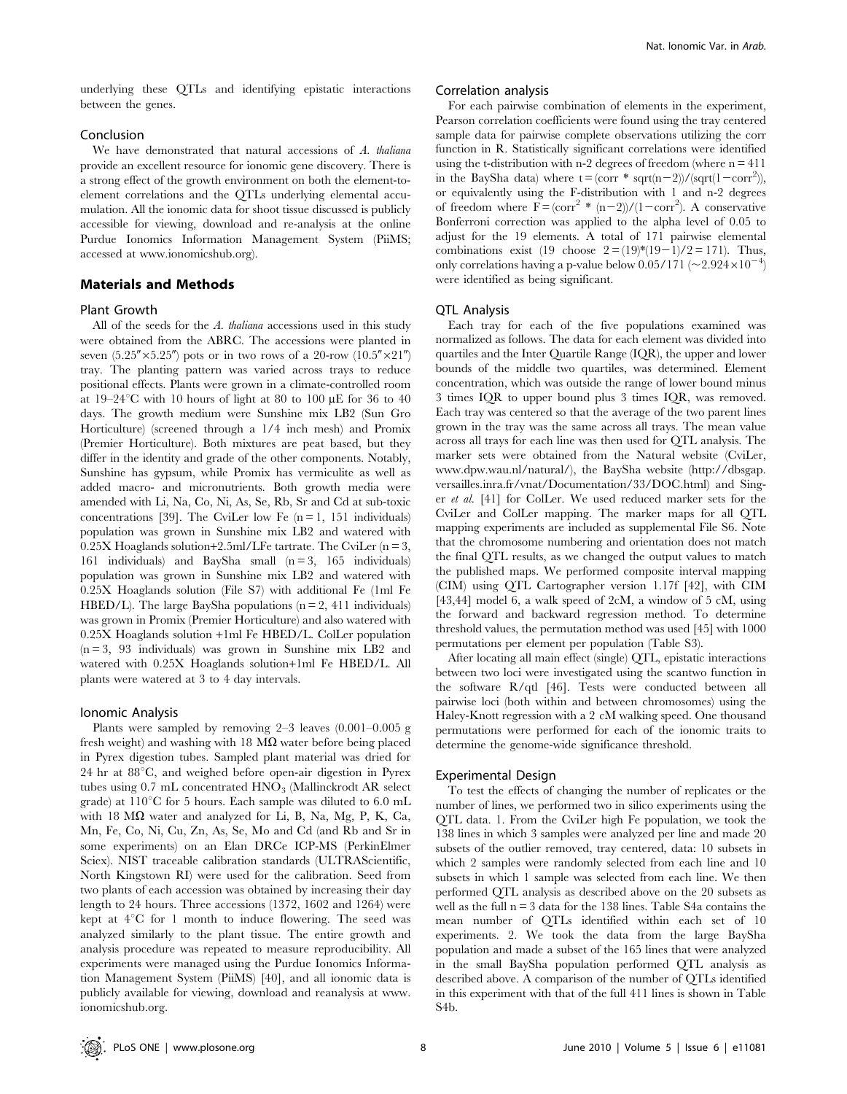underlying these QTLs and identifying epistatic interactions between the genes.

# Conclusion

We have demonstrated that natural accessions of A. thaliana provide an excellent resource for ionomic gene discovery. There is a strong effect of the growth environment on both the element-toelement correlations and the QTLs underlying elemental accumulation. All the ionomic data for shoot tissue discussed is publicly accessible for viewing, download and re-analysis at the online Purdue Ionomics Information Management System (PiiMS; accessed at www.ionomicshub.org).

## Materials and Methods

#### Plant Growth

All of the seeds for the A. thaliana accessions used in this study were obtained from the ABRC. The accessions were planted in seven  $(5.25'' \times 5.25'')$  pots or in two rows of a 20-row  $(10.5'' \times 21'')$ tray. The planting pattern was varied across trays to reduce positional effects. Plants were grown in a climate-controlled room at  $19-24^{\circ}$ C with 10 hours of light at 80 to 100  $\mu$ E for 36 to 40 days. The growth medium were Sunshine mix LB2 (Sun Gro Horticulture) (screened through a 1/4 inch mesh) and Promix (Premier Horticulture). Both mixtures are peat based, but they differ in the identity and grade of the other components. Notably, Sunshine has gypsum, while Promix has vermiculite as well as added macro- and micronutrients. Both growth media were amended with Li, Na, Co, Ni, As, Se, Rb, Sr and Cd at sub-toxic concentrations [39]. The CviLer low Fe  $(n = 1, 151)$  individuals) population was grown in Sunshine mix LB2 and watered with  $0.25X$  Hoaglands solution+2.5ml/LFe tartrate. The CviLer (n = 3, 161 individuals) and BaySha small  $(n = 3, 165$  individuals) population was grown in Sunshine mix LB2 and watered with 0.25X Hoaglands solution (File S7) with additional Fe (1ml Fe HBED/L). The large BaySha populations ( $n = 2$ , 411 individuals) was grown in Promix (Premier Horticulture) and also watered with 0.25X Hoaglands solution +1ml Fe HBED/L. ColLer population  $(n = 3, 93$  individuals) was grown in Sunshine mix LB2 and watered with 0.25X Hoaglands solution+1ml Fe HBED/L. All plants were watered at 3 to 4 day intervals.

#### Ionomic Analysis

Plants were sampled by removing 2–3 leaves (0.001–0.005 g fresh weight) and washing with 18  $M\Omega$  water before being placed in Pyrex digestion tubes. Sampled plant material was dried for 24 hr at  $88^{\circ}$ C, and weighed before open-air digestion in Pyrex tubes using  $0.7$  mL concentrated  $HNO<sub>3</sub>$  (Mallinckrodt AR select grade) at  $110^{\circ}$ C for 5 hours. Each sample was diluted to 6.0 mL with 18  $M\Omega$  water and analyzed for Li, B, Na, Mg, P, K, Ca, Mn, Fe, Co, Ni, Cu, Zn, As, Se, Mo and Cd (and Rb and Sr in some experiments) on an Elan DRCe ICP-MS (PerkinElmer Sciex). NIST traceable calibration standards (ULTRAScientific, North Kingstown RI) were used for the calibration. Seed from two plants of each accession was obtained by increasing their day length to 24 hours. Three accessions (1372, 1602 and 1264) were kept at  $4^{\circ}$ C for 1 month to induce flowering. The seed was analyzed similarly to the plant tissue. The entire growth and analysis procedure was repeated to measure reproducibility. All experiments were managed using the Purdue Ionomics Information Management System (PiiMS) [40], and all ionomic data is publicly available for viewing, download and reanalysis at www. ionomicshub.org.

#### Correlation analysis

For each pairwise combination of elements in the experiment, Pearson correlation coefficients were found using the tray centered sample data for pairwise complete observations utilizing the corr function in R. Statistically significant correlations were identified using the t-distribution with n-2 degrees of freedom (where  $n = 411$ ) in the BaySha data) where  $t = (corr * sqrt(n-2))/(sqrt(1-corr^2)),$ or equivalently using the F-distribution with 1 and n-2 degrees of freedom where  $\vec{F} = (\text{corr}^2 * (n-2))/(1-\text{corr}^2)$ . A conservative Bonferroni correction was applied to the alpha level of 0.05 to adjust for the 19 elements. A total of 171 pairwise elemental combinations exist (19 choose  $2 = (19)*(19-1)/2 = 171$ ). Thus, only correlations having a p-value below  $0.05/171$  (~2.924×10<sup>-4</sup>) were identified as being significant.

## QTL Analysis

Each tray for each of the five populations examined was normalized as follows. The data for each element was divided into quartiles and the Inter Quartile Range (IQR), the upper and lower bounds of the middle two quartiles, was determined. Element concentration, which was outside the range of lower bound minus 3 times IQR to upper bound plus 3 times IQR, was removed. Each tray was centered so that the average of the two parent lines grown in the tray was the same across all trays. The mean value across all trays for each line was then used for QTL analysis. The marker sets were obtained from the Natural website (CviLer, www.dpw.wau.nl/natural/), the BaySha website (http://dbsgap. versailles.inra.fr/vnat/Documentation/33/DOC.html) and Singer et al. [41] for ColLer. We used reduced marker sets for the CviLer and ColLer mapping. The marker maps for all QTL mapping experiments are included as supplemental File S6. Note that the chromosome numbering and orientation does not match the final QTL results, as we changed the output values to match the published maps. We performed composite interval mapping (CIM) using QTL Cartographer version 1.17f [42], with CIM [43,44] model 6, a walk speed of 2cM, a window of 5 cM, using the forward and backward regression method. To determine threshold values, the permutation method was used [45] with 1000 permutations per element per population (Table S3).

After locating all main effect (single) QTL, epistatic interactions between two loci were investigated using the scantwo function in the software R/qtl [46]. Tests were conducted between all pairwise loci (both within and between chromosomes) using the Haley-Knott regression with a 2 cM walking speed. One thousand permutations were performed for each of the ionomic traits to determine the genome-wide significance threshold.

#### Experimental Design

To test the effects of changing the number of replicates or the number of lines, we performed two in silico experiments using the QTL data. 1. From the CviLer high Fe population, we took the 138 lines in which 3 samples were analyzed per line and made 20 subsets of the outlier removed, tray centered, data: 10 subsets in which 2 samples were randomly selected from each line and 10 subsets in which 1 sample was selected from each line. We then performed QTL analysis as described above on the 20 subsets as well as the full  $n = 3$  data for the 138 lines. Table S4a contains the mean number of QTLs identified within each set of 10 experiments. 2. We took the data from the large BaySha population and made a subset of the 165 lines that were analyzed in the small BaySha population performed QTL analysis as described above. A comparison of the number of QTLs identified in this experiment with that of the full 411 lines is shown in Table S4b.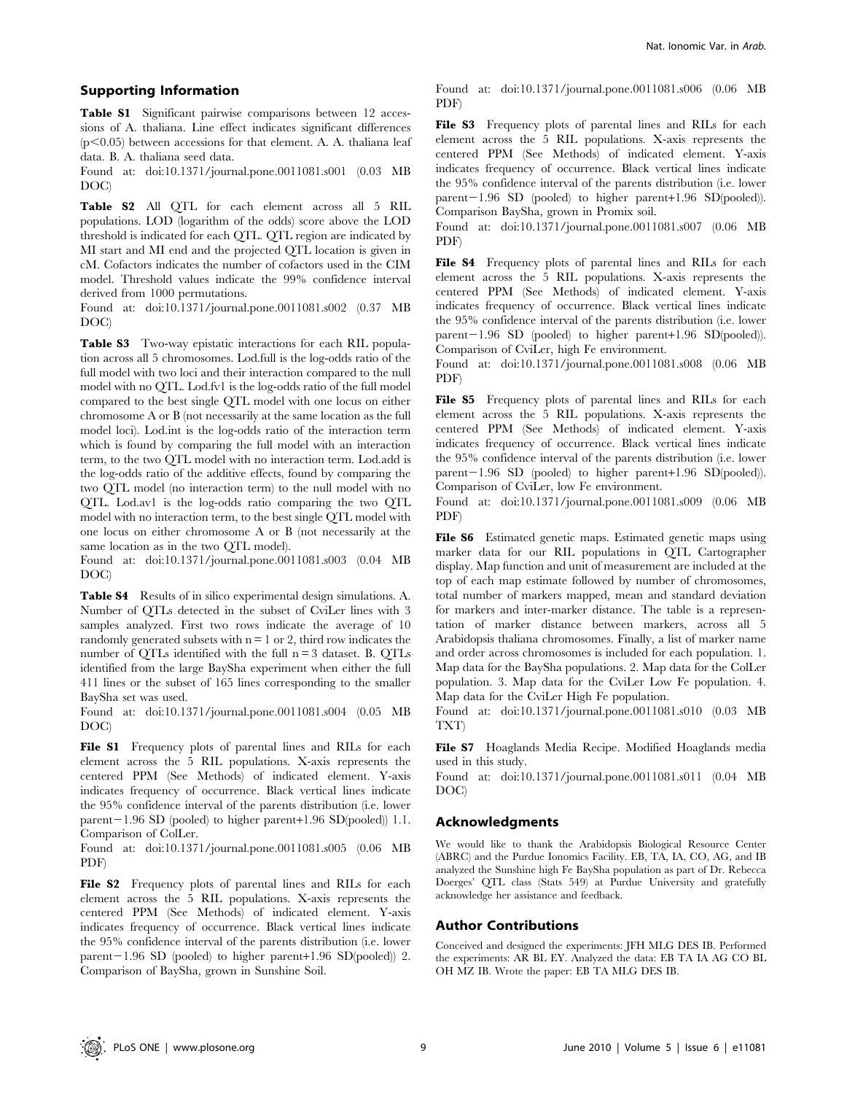Table S1 Significant pairwise comparisons between 12 accessions of A. thaliana. Line effect indicates significant differences  $(p<0.05)$  between accessions for that element. A. A. thaliana leaf data. B. A. thaliana seed data.

Found at: doi:10.1371/journal.pone.0011081.s001 (0.03 MB DOC)

Table S2 All QTL for each element across all 5 RIL populations. LOD (logarithm of the odds) score above the LOD threshold is indicated for each QTL. QTL region are indicated by MI start and MI end and the projected QTL location is given in cM. Cofactors indicates the number of cofactors used in the CIM model. Threshold values indicate the 99% confidence interval derived from 1000 permutations.

Found at: doi:10.1371/journal.pone.0011081.s002 (0.37 MB DOC)

Table S3 Two-way epistatic interactions for each RIL population across all 5 chromosomes. Lod.full is the log-odds ratio of the full model with two loci and their interaction compared to the null model with no QTL. Lod.fv1 is the log-odds ratio of the full model compared to the best single QTL model with one locus on either chromosome A or B (not necessarily at the same location as the full model loci). Lod.int is the log-odds ratio of the interaction term which is found by comparing the full model with an interaction term, to the two QTL model with no interaction term. Lod.add is the log-odds ratio of the additive effects, found by comparing the two QTL model (no interaction term) to the null model with no QTL. Lod.av1 is the log-odds ratio comparing the two QTL model with no interaction term, to the best single QTL model with one locus on either chromosome A or B (not necessarily at the same location as in the two QTL model).

Found at: doi:10.1371/journal.pone.0011081.s003 (0.04 MB DOC)

Table S4 Results of in silico experimental design simulations. A. Number of QTLs detected in the subset of CviLer lines with 3 samples analyzed. First two rows indicate the average of 10 randomly generated subsets with  $n = 1$  or 2, third row indicates the number of QTLs identified with the full n = 3 dataset. B. QTLs identified from the large BaySha experiment when either the full 411 lines or the subset of 165 lines corresponding to the smaller BaySha set was used.

Found at: doi:10.1371/journal.pone.0011081.s004 (0.05 MB DOC)

File S1 Frequency plots of parental lines and RILs for each element across the 5 RIL populations. X-axis represents the centered PPM (See Methods) of indicated element. Y-axis indicates frequency of occurrence. Black vertical lines indicate the 95% confidence interval of the parents distribution (i.e. lower parent $-1.96$  SD (pooled) to higher parent+1.96 SD(pooled)) 1.1. Comparison of ColLer.

Found at: doi:10.1371/journal.pone.0011081.s005 (0.06 MB PDF)

File S2 Frequency plots of parental lines and RILs for each element across the 5 RIL populations. X-axis represents the centered PPM (See Methods) of indicated element. Y-axis indicates frequency of occurrence. Black vertical lines indicate the 95% confidence interval of the parents distribution (i.e. lower parent $-1.96$  SD (pooled) to higher parent+1.96 SD(pooled)) 2. Comparison of BaySha, grown in Sunshine Soil.

Found at: doi:10.1371/journal.pone.0011081.s006 (0.06 MB PDF)

File S3 Frequency plots of parental lines and RILs for each element across the 5 RIL populations. X-axis represents the centered PPM (See Methods) of indicated element. Y-axis indicates frequency of occurrence. Black vertical lines indicate the 95% confidence interval of the parents distribution (i.e. lower  $parent-1.96$  SD (pooled) to higher parent+1.96 SD(pooled)). Comparison BaySha, grown in Promix soil.

Found at: doi:10.1371/journal.pone.0011081.s007 (0.06 MB PDF)

File S4 Frequency plots of parental lines and RILs for each element across the 5 RIL populations. X-axis represents the centered PPM (See Methods) of indicated element. Y-axis indicates frequency of occurrence. Black vertical lines indicate the 95% confidence interval of the parents distribution (i.e. lower  $parent-1.96$  SD (pooled) to higher parent+1.96 SD(pooled)). Comparison of CviLer, high Fe environment.

Found at: doi:10.1371/journal.pone.0011081.s008 (0.06 MB PDF)

File S5 Frequency plots of parental lines and RILs for each element across the 5 RIL populations. X-axis represents the centered PPM (See Methods) of indicated element. Y-axis indicates frequency of occurrence. Black vertical lines indicate the 95% confidence interval of the parents distribution (i.e. lower  $parent-1.96$  SD (pooled) to higher parent+1.96 SD(pooled)). Comparison of CviLer, low Fe environment.

Found at: doi:10.1371/journal.pone.0011081.s009 (0.06 MB PDF)

File S6 Estimated genetic maps. Estimated genetic maps using marker data for our RIL populations in QTL Cartographer display. Map function and unit of measurement are included at the top of each map estimate followed by number of chromosomes, total number of markers mapped, mean and standard deviation for markers and inter-marker distance. The table is a representation of marker distance between markers, across all 5 Arabidopsis thaliana chromosomes. Finally, a list of marker name and order across chromosomes is included for each population. 1. Map data for the BaySha populations. 2. Map data for the ColLer population. 3. Map data for the CviLer Low Fe population. 4. Map data for the CviLer High Fe population.

Found at: doi:10.1371/journal.pone.0011081.s010 (0.03 MB TXT)

File S7 Hoaglands Media Recipe. Modified Hoaglands media used in this study.

Found at: doi:10.1371/journal.pone.0011081.s011 (0.04 MB DOC)

## Acknowledgments

We would like to thank the Arabidopsis Biological Resource Center (ABRC) and the Purdue Ionomics Facility. EB, TA, IA, CO, AG, and IB analyzed the Sunshine high Fe BaySha population as part of Dr. Rebecca Doerges' QTL class (Stats 549) at Purdue University and gratefully acknowledge her assistance and feedback.

## Author Contributions

Conceived and designed the experiments: JFH MLG DES IB. Performed the experiments: AR BL EY. Analyzed the data: EB TA IA AG CO BL OH MZ IB. Wrote the paper: EB TA MLG DES IB.